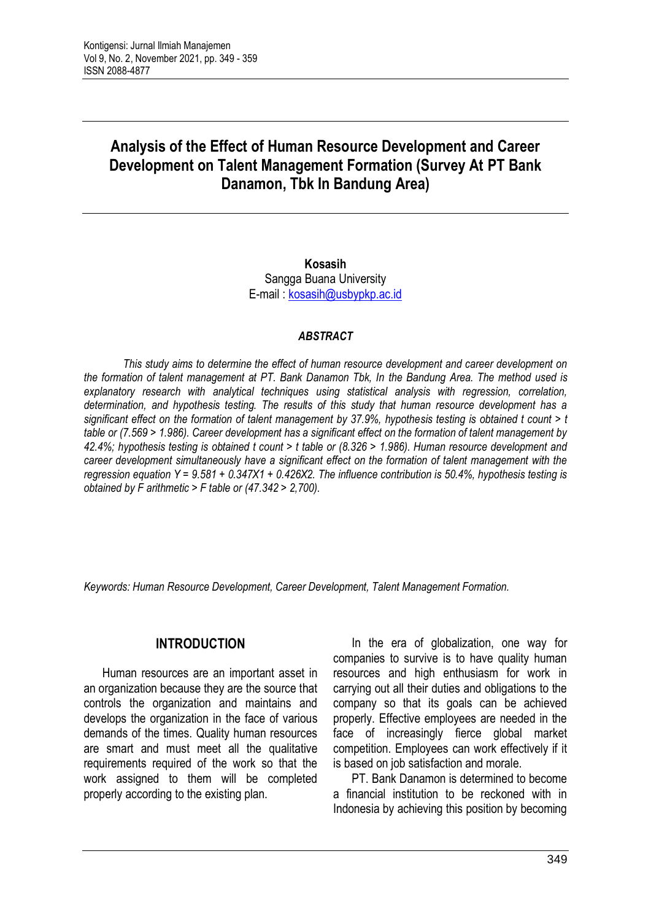# **Analysis of the Effect of Human Resource Development and Career Development on Talent Management Formation (Survey At PT Bank Danamon, Tbk In Bandung Area)**

**Kosasih** Sangga Buana University E-mail : [kosasih@usbypkp.ac.id](mailto:kosasih@usbypkp.ac.id)

#### *ABSTRACT*

*This study aims to determine the effect of human resource development and career development on the formation of talent management at PT. Bank Danamon Tbk, In the Bandung Area. The method used is explanatory research with analytical techniques using statistical analysis with regression, correlation, determination, and hypothesis testing. The results of this study that human resource development has a significant effect on the formation of talent management by 37.9%, hypothesis testing is obtained t count > t table or (7.569 > 1.986). Career development has a significant effect on the formation of talent management by 42.4%; hypothesis testing is obtained t count > t table or (8.326 > 1.986). Human resource development and career development simultaneously have a significant effect on the formation of talent management with the regression equation Y = 9.581 + 0.347X1 + 0.426X2. The influence contribution is 50.4%, hypothesis testing is obtained by F arithmetic > F table or (47.342 > 2,700).*

*Keywords: Human Resource Development, Career Development, Talent Management Formation.*

### **INTRODUCTION**

Human resources are an important asset in an organization because they are the source that controls the organization and maintains and develops the organization in the face of various demands of the times. Quality human resources are smart and must meet all the qualitative requirements required of the work so that the work assigned to them will be completed properly according to the existing plan.

In the era of globalization, one way for companies to survive is to have quality human resources and high enthusiasm for work in carrying out all their duties and obligations to the company so that its goals can be achieved properly. Effective employees are needed in the face of increasingly fierce global market competition. Employees can work effectively if it is based on job satisfaction and morale.

PT. Bank Danamon is determined to become a financial institution to be reckoned with in Indonesia by achieving this position by becoming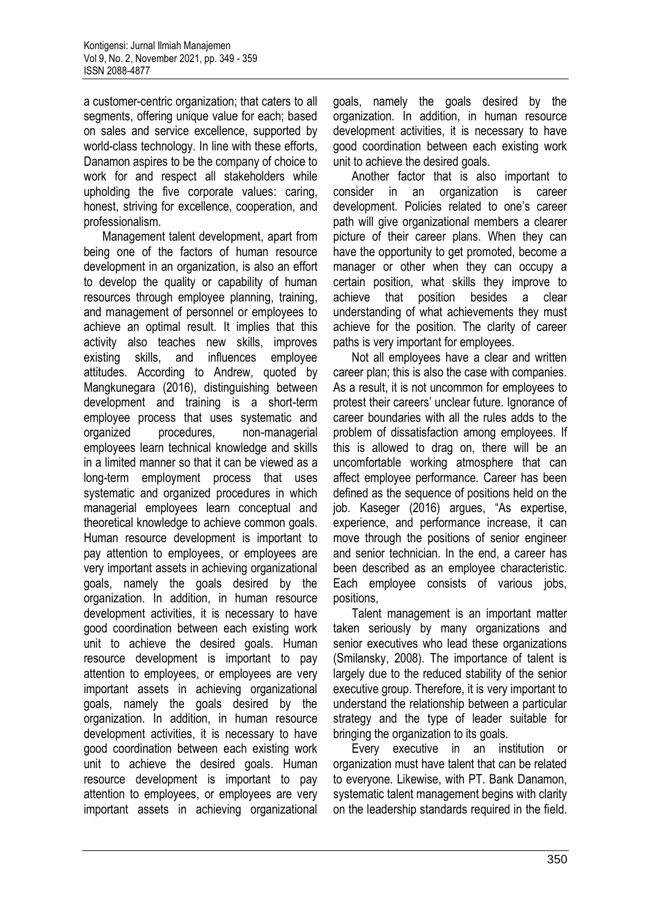a customer-centric organization; that caters to all segments, offering unique value for each; based on sales and service excellence, supported by world-class technology. In line with these efforts, Danamon aspires to be the company of choice to work for and respect all stakeholders while upholding the five corporate values: caring, honest, striving for excellence, cooperation, and professionalism.

Management talent development, apart from being one of the factors of human resource development in an organization, is also an effort to develop the quality or capability of human resources through employee planning, training, and management of personnel or employees to achieve an optimal result. It implies that this activity also teaches new skills, improves existing skills, and influences employee attitudes. According to Andrew, quoted by Mangkunegara (2016), distinguishing between development and training is a short-term employee process that uses systematic and organized procedures, non-managerial employees learn technical knowledge and skills in a limited manner so that it can be viewed as a long-term employment process that uses systematic and organized procedures in which managerial employees learn conceptual and theoretical knowledge to achieve common goals. Human resource development is important to pay attention to employees, or employees are very important assets in achieving organizational goals, namely the goals desired by the organization. In addition, in human resource development activities, it is necessary to have good coordination between each existing work unit to achieve the desired goals. Human resource development is important to pay attention to employees, or employees are very important assets in achieving organizational goals, namely the goals desired by the organization. In addition, in human resource development activities, it is necessary to have good coordination between each existing work unit to achieve the desired goals. Human resource development is important to pay attention to employees, or employees are very important assets in achieving organizational

goals, namely the goals desired by the organization. In addition, in human resource development activities, it is necessary to have good coordination between each existing work unit to achieve the desired goals.

Another factor that is also important to consider in an organization is career development. Policies related to one's career path will give organizational members a clearer picture of their career plans. When they can have the opportunity to get promoted, become a manager or other when they can occupy a certain position, what skills they improve to achieve that position besides a clear understanding of what achievements they must achieve for the position. The clarity of career paths is very important for employees.

Not all employees have a clear and written career plan; this is also the case with companies. As a result, it is not uncommon for employees to protest their careers' unclear future. Ignorance of career boundaries with all the rules adds to the problem of dissatisfaction among employees. If this is allowed to drag on, there will be an uncomfortable working atmosphere that can affect employee performance. Career has been defined as the sequence of positions held on the job. Kaseger (2016) argues, "As expertise, experience, and performance increase, it can move through the positions of senior engineer and senior technician. In the end, a career has been described as an employee characteristic. Each employee consists of various jobs, positions,

Talent management is an important matter taken seriously by many organizations and senior executives who lead these organizations (Smilansky, 2008). The importance of talent is largely due to the reduced stability of the senior executive group. Therefore, it is very important to understand the relationship between a particular strategy and the type of leader suitable for bringing the organization to its goals.

Every executive in an institution or organization must have talent that can be related to everyone. Likewise, with PT. Bank Danamon, systematic talent management begins with clarity on the leadership standards required in the field.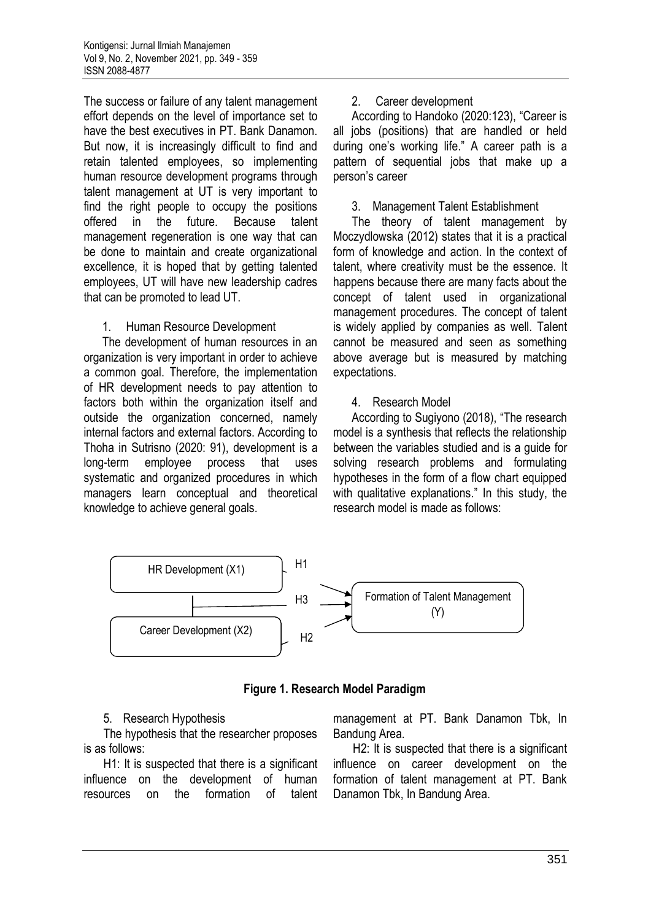The success or failure of any talent management effort depends on the level of importance set to have the best executives in PT. Bank Danamon. But now, it is increasingly difficult to find and retain talented employees, so implementing human resource development programs through talent management at UT is very important to find the right people to occupy the positions offered in the future. Because talent management regeneration is one way that can be done to maintain and create organizational excellence, it is hoped that by getting talented employees, UT will have new leadership cadres that can be promoted to lead UT.

### 1. Human Resource Development

The development of human resources in an organization is very important in order to achieve a common goal. Therefore, the implementation of HR development needs to pay attention to factors both within the organization itself and outside the organization concerned, namely internal factors and external factors. According to Thoha in Sutrisno (2020: 91), development is a long-term employee process that uses systematic and organized procedures in which managers learn conceptual and theoretical knowledge to achieve general goals.

### 2. Career development

According to Handoko (2020:123), "Career is all jobs (positions) that are handled or held during one's working life." A career path is a pattern of sequential jobs that make up a person's career

### 3. Management Talent Establishment

The theory of talent management by Moczydlowska (2012) states that it is a practical form of knowledge and action. In the context of talent, where creativity must be the essence. It happens because there are many facts about the concept of talent used in organizational management procedures. The concept of talent is widely applied by companies as well. Talent cannot be measured and seen as something above average but is measured by matching expectations.

### 4. Research Model

According to Sugiyono (2018), "The research model is a synthesis that reflects the relationship between the variables studied and is a guide for solving research problems and formulating hypotheses in the form of a flow chart equipped with qualitative explanations." In this study, the research model is made as follows:



**Figure 1. Research Model Paradigm**

### 5. Research Hypothesis

The hypothesis that the researcher proposes is as follows:

H1: It is suspected that there is a significant influence on the development of human resources on the formation of talent management at PT. Bank Danamon Tbk, In Bandung Area.

H2: It is suspected that there is a significant influence on career development on the formation of talent management at PT. Bank Danamon Tbk, In Bandung Area.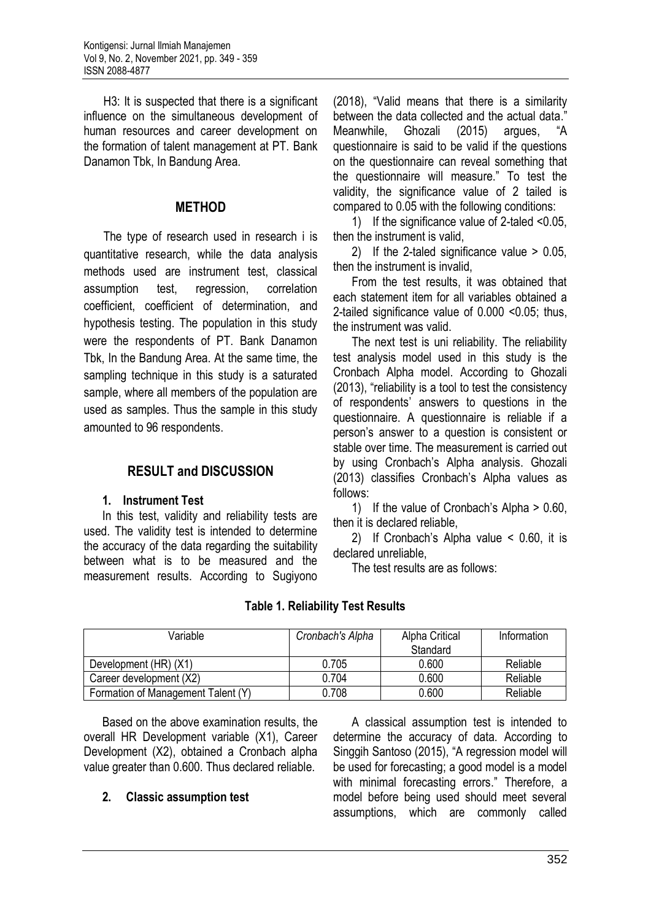H3: It is suspected that there is a significant influence on the simultaneous development of human resources and career development on the formation of talent management at PT. Bank Danamon Tbk, In Bandung Area.

### **METHOD**

The type of research used in research i is quantitative research, while the data analysis methods used are instrument test, classical assumption test, regression, correlation coefficient, coefficient of determination, and hypothesis testing. The population in this study were the respondents of PT. Bank Danamon Tbk, In the Bandung Area. At the same time, the sampling technique in this study is a saturated sample, where all members of the population are used as samples. Thus the sample in this study amounted to 96 respondents.

# **RESULT and DISCUSSION**

### **1. Instrument Test**

In this test, validity and reliability tests are used. The validity test is intended to determine the accuracy of the data regarding the suitability between what is to be measured and the measurement results. According to Sugiyono

(2018), "Valid means that there is a similarity between the data collected and the actual data." Meanwhile, Ghozali (2015) argues, "A questionnaire is said to be valid if the questions on the questionnaire can reveal something that the questionnaire will measure." To test the validity, the significance value of 2 tailed is compared to 0.05 with the following conditions:

1) If the significance value of 2-taled <0.05, then the instrument is valid,

2) If the 2-taled significance value > 0.05, then the instrument is invalid,

From the test results, it was obtained that each statement item for all variables obtained a 2-tailed significance value of 0.000 <0.05; thus, the instrument was valid.

The next test is uni reliability. The reliability test analysis model used in this study is the Cronbach Alpha model. According to Ghozali (2013), "reliability is a tool to test the consistency of respondents' answers to questions in the questionnaire. A questionnaire is reliable if a person's answer to a question is consistent or stable over time. The measurement is carried out by using Cronbach's Alpha analysis. Ghozali (2013) classifies Cronbach's Alpha values as follows:

1) If the value of Cronbach's Alpha > 0.60, then it is declared reliable,

2) If Cronbach's Alpha value < 0.60, it is declared unreliable,

The test results are as follows:

| Variable                           | Cronbach's Alpha | Alpha Critical<br>Standard | Information |
|------------------------------------|------------------|----------------------------|-------------|
| Development (HR) (X1)              | 0.705            | 0.600                      | Reliable    |
| Career development (X2)            | 0.704            | 0.600                      | Reliable    |
| Formation of Management Talent (Y) | 0.708            | 0.600                      | Reliable    |

**Table 1. Reliability Test Results**

Based on the above examination results, the overall HR Development variable (X1), Career Development (X2), obtained a Cronbach alpha value greater than 0.600. Thus declared reliable.

### **2. Classic assumption test**

A classical assumption test is intended to determine the accuracy of data. According to Singgih Santoso (2015), "A regression model will be used for forecasting; a good model is a model with minimal forecasting errors." Therefore, a model before being used should meet several assumptions, which are commonly called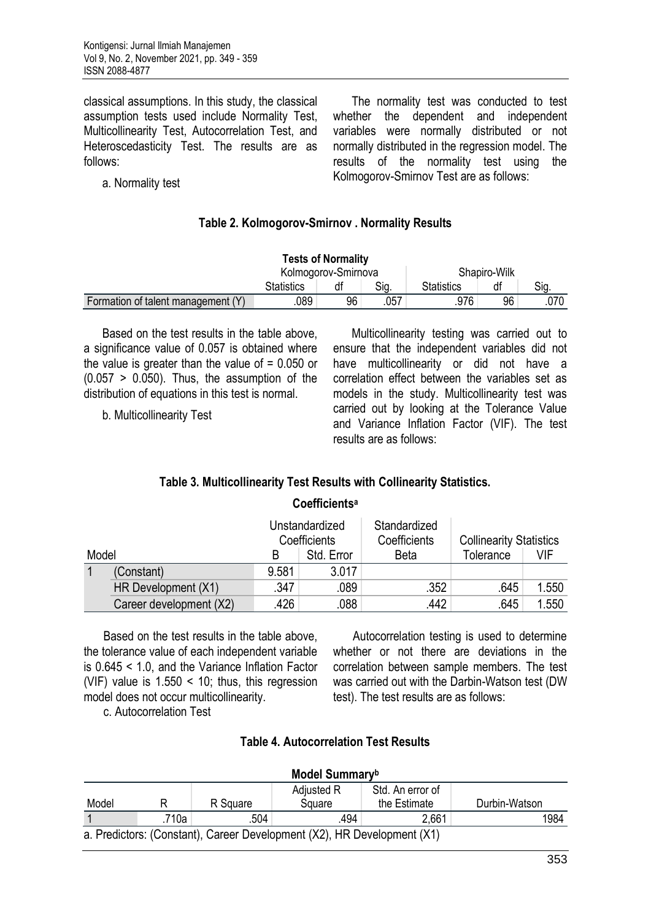classical assumptions. In this study, the classical assumption tests used include Normality Test, Multicollinearity Test, Autocorrelation Test, and Heteroscedasticity Test. The results are as follows:

The normality test was conducted to test whether the dependent and independent variables were normally distributed or not normally distributed in the regression model. The results of the normality test using the Kolmogorov-Smirnov Test are as follows:

a. Normality test

### **Table 2. Kolmogorov-Smirnov . Normality Results**

| <b>Tests of Normality</b>          |                           |    |      |              |    |      |
|------------------------------------|---------------------------|----|------|--------------|----|------|
|                                    | Kolmogorov-Smirnova       |    |      | Shapiro-Wilk |    |      |
|                                    | Sig.<br><b>Statistics</b> |    |      | Statistics   | df | Sig. |
| Formation of talent management (Y) | .089                      | 96 | .057 | .976         | 96 | .070 |

Based on the test results in the table above, a significance value of 0.057 is obtained where the value is greater than the value of  $= 0.050$  or  $(0.057 > 0.050)$ . Thus, the assumption of the distribution of equations in this test is normal.

b. Multicollinearity Test

Multicollinearity testing was carried out to ensure that the independent variables did not have multicollinearity or did not have a correlation effect between the variables set as models in the study. Multicollinearity test was carried out by looking at the Tolerance Value and Variance Inflation Factor (VIF). The test results are as follows:

# **Table 3. Multicollinearity Test Results with Collinearity Statistics.**

**Coefficients<sup>a</sup>**

|       |                         |       | Unstandardized<br>Coefficients | Standardized<br>Coefficients | <b>Collinearity Statistics</b> |       |
|-------|-------------------------|-------|--------------------------------|------------------------------|--------------------------------|-------|
| Model |                         |       | Std. Error                     | Beta                         | Tolerance                      | VIF   |
|       | (Constant)              | 9.581 | 3.017                          |                              |                                |       |
|       | HR Development (X1)     | .347  | .089                           | .352                         | .645                           | 1.550 |
|       | Career development (X2) | .426  | .088                           | .442                         | 645                            | 1.550 |

Based on the test results in the table above, the tolerance value of each independent variable is 0.645 < 1.0, and the Variance Inflation Factor (VIF) value is 1.550 < 10; thus, this regression model does not occur multicollinearity.

c. Autocorrelation Test

Autocorrelation testing is used to determine whether or not there are deviations in the correlation between sample members. The test was carried out with the Darbin-Watson test (DW test). The test results are as follows:

| Model Summaryb                                                          |       |          |        |              |               |  |
|-------------------------------------------------------------------------|-------|----------|--------|--------------|---------------|--|
| Std. An error of<br>Adjusted R                                          |       |          |        |              |               |  |
| Model                                                                   |       | R Square | Square | the Estimate | Durbin-Watson |  |
|                                                                         | .710a | .504     | .494   | 2,661        | 1984          |  |
| a. Predictors: (Constant), Career Development (X2), HR Development (X1) |       |          |        |              |               |  |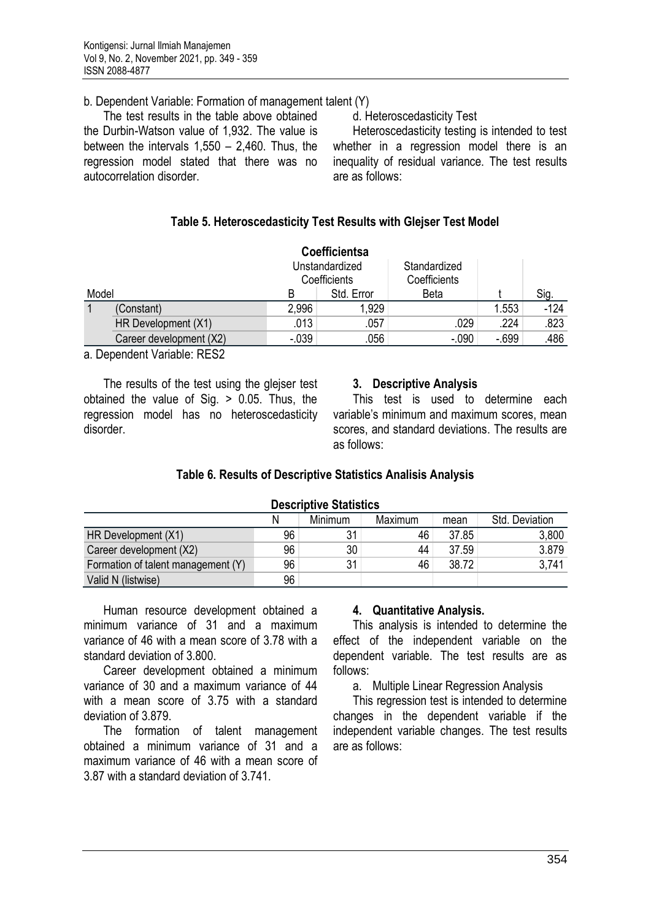### b. Dependent Variable: Formation of management talent (Y)

The test results in the table above obtained the Durbin-Watson value of 1,932. The value is between the intervals 1,550 – 2,460. Thus, the regression model stated that there was no autocorrelation disorder.

d. Heteroscedasticity Test

Heteroscedasticity testing is intended to test whether in a regression model there is an inequality of residual variance. The test results are as follows:

## **Table 5. Heteroscedasticity Test Results with Glejser Test Model**

|       |                         |                                | <b>Coefficientsa</b> |                              |        |        |
|-------|-------------------------|--------------------------------|----------------------|------------------------------|--------|--------|
|       |                         | Unstandardized<br>Coefficients |                      | Standardized<br>Coefficients |        |        |
| Model |                         | B                              | Std. Error           | Beta                         |        | Sig.   |
|       | (Constant)              | 2,996                          | 1,929                |                              | 1.553  | $-124$ |
|       | HR Development (X1)     | .013                           | .057                 | .029                         | .224   | .823   |
|       | Career development (X2) | $-0.39$                        | .056                 | $-.090$                      | $-699$ | .486   |

a. Dependent Variable: RES2

The results of the test using the glejser test obtained the value of Sig. > 0.05. Thus, the regression model has no heteroscedasticity disorder.

### **3. Descriptive Analysis**

This test is used to determine each variable's minimum and maximum scores, mean scores, and standard deviations. The results are as follows:

### **Table 6. Results of Descriptive Statistics Analisis Analysis**

| <b>Descriptive Statistics</b>                            |    |    |    |       |       |  |
|----------------------------------------------------------|----|----|----|-------|-------|--|
| <b>Minimum</b><br>Maximum<br>Std. Deviation<br>N<br>mean |    |    |    |       |       |  |
| HR Development (X1)                                      | 96 | 31 | 46 | 37.85 | 3,800 |  |
| Career development (X2)                                  | 96 | 30 | 44 | 37.59 | 3.879 |  |
| Formation of talent management (Y)                       | 96 | 31 | 46 | 38.72 | 3,741 |  |
| Valid N (listwise)                                       | 96 |    |    |       |       |  |

Human resource development obtained a minimum variance of 31 and a maximum variance of 46 with a mean score of 3.78 with a standard deviation of 3.800.

Career development obtained a minimum variance of 30 and a maximum variance of 44 with a mean score of 3.75 with a standard deviation of 3.879.

The formation of talent management obtained a minimum variance of 31 and a maximum variance of 46 with a mean score of 3.87 with a standard deviation of 3.741.

### **4. Quantitative Analysis.**

This analysis is intended to determine the effect of the independent variable on the dependent variable. The test results are as follows:

a. Multiple Linear Regression Analysis

This regression test is intended to determine changes in the dependent variable if the independent variable changes. The test results are as follows: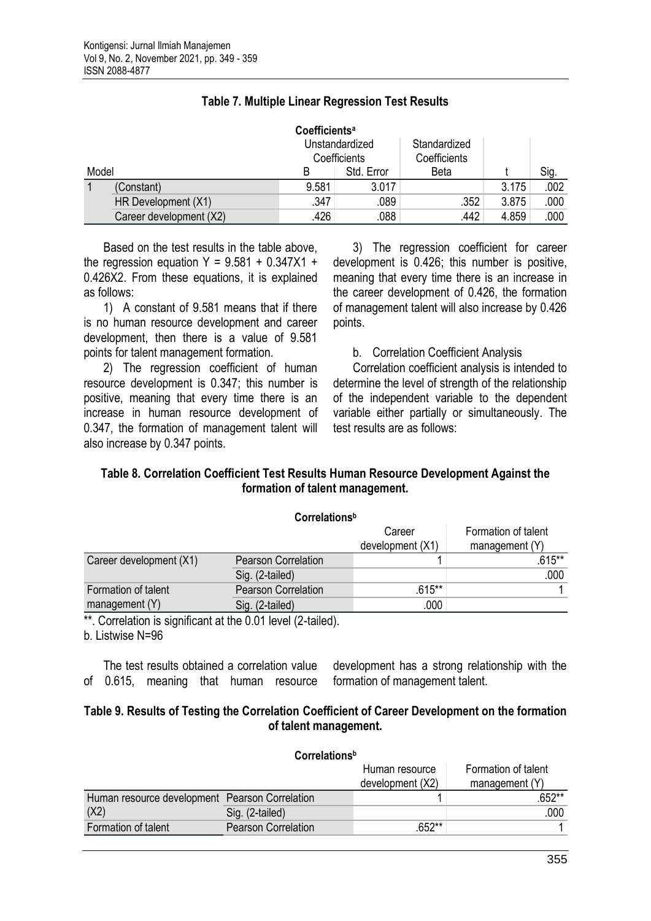|       |                         | <b>Coefficients<sup>a</sup></b> |            |                              |       |      |
|-------|-------------------------|---------------------------------|------------|------------------------------|-------|------|
|       |                         | Unstandardized<br>Coefficients  |            | Standardized<br>Coefficients |       |      |
| Model |                         | B                               | Std. Error | <b>Beta</b>                  |       | Sig. |
|       | (Constant)              | 9.581                           | 3.017      |                              | 3.175 | .002 |
|       | HR Development (X1)     | .347                            | .089       | .352                         | 3.875 | .000 |
|       | Career development (X2) | .426                            | .088       | .442                         | 4.859 | .000 |

### **Table 7. Multiple Linear Regression Test Results**

Based on the test results in the table above, the regression equation  $Y = 9.581 + 0.347X1 +$ 0.426X2. From these equations, it is explained as follows:

1) A constant of 9.581 means that if there is no human resource development and career development, then there is a value of 9.581 points for talent management formation.

2) The regression coefficient of human resource development is 0.347; this number is positive, meaning that every time there is an increase in human resource development of 0.347, the formation of management talent will also increase by 0.347 points.

3) The regression coefficient for career development is 0.426; this number is positive, meaning that every time there is an increase in the career development of 0.426, the formation of management talent will also increase by 0.426 points.

b. Correlation Coefficient Analysis

Correlation coefficient analysis is intended to determine the level of strength of the relationship of the independent variable to the dependent variable either partially or simultaneously. The test results are as follows:

### **Table 8. Correlation Coefficient Test Results Human Resource Development Against the formation of talent management.**

|                         | Correlations <sup>b</sup>  |                  |                     |
|-------------------------|----------------------------|------------------|---------------------|
|                         |                            | Career           | Formation of talent |
|                         |                            | development (X1) | management (Y)      |
| Career development (X1) | <b>Pearson Correlation</b> |                  | $.615**$            |
|                         | Sig. (2-tailed)            |                  | .000                |
| Formation of talent     | Pearson Correlation        | $.615***$        |                     |
| management (Y)          | Sig. (2-tailed)            | .000             |                     |

\*\*. Correlation is significant at the 0.01 level (2-tailed).

b. Listwise N=96

The test results obtained a correlation value of 0.615, meaning that human resource

development has a strong relationship with the formation of management talent.

### **Table 9. Results of Testing the Correlation Coefficient of Career Development on the formation of talent management.**

|                                                | Correlations <sup>b</sup>  |                                    |                                       |
|------------------------------------------------|----------------------------|------------------------------------|---------------------------------------|
|                                                |                            | Human resource<br>development (X2) | Formation of talent<br>management (Y) |
| Human resource development Pearson Correlation |                            |                                    | .652**                                |
| (X2)                                           | Sig. (2-tailed)            |                                    | .000                                  |
| Formation of talent                            | <b>Pearson Correlation</b> | .652**                             |                                       |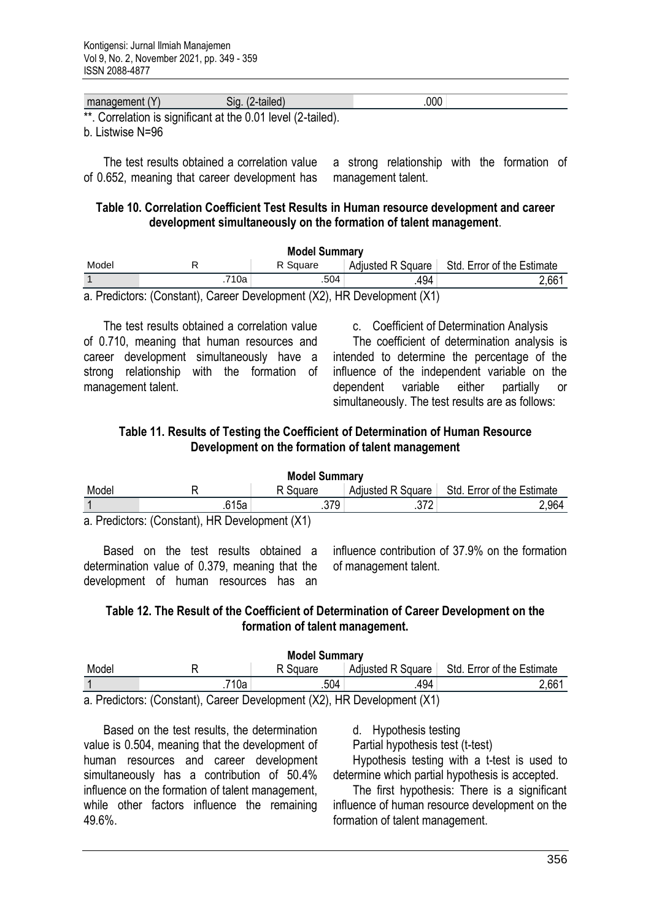|      | ١ı                                                     | 00C |  |
|------|--------------------------------------------------------|-----|--|
| ** 1 | ∩amalatian ia aimmitiaant at tha ∩ ∩4 laval /∩ tailad\ |     |  |

. Correlation is significant at the 0.01 level (2-tailed).

b. Listwise N=96

The test results obtained a correlation value of 0.652, meaning that career development has a strong relationship with the formation of management talent.

#### **Table 10. Correlation Coefficient Test Results in Human resource development and career development simultaneously on the formation of talent management**.

| <b>Model Summary</b>                                                    |       |          |      |                                                |  |  |  |
|-------------------------------------------------------------------------|-------|----------|------|------------------------------------------------|--|--|--|
| Model                                                                   |       | R Square |      | Adjusted R Square   Std. Error of the Estimate |  |  |  |
|                                                                         | .710a | .504     | .494 | 2,661                                          |  |  |  |
| a. Predictors: (Constant), Career Development (X2), HR Development (X1) |       |          |      |                                                |  |  |  |

The test results obtained a correlation value of 0.710, meaning that human resources and career development simultaneously have a strong relationship with the formation of management talent.

c. Coefficient of Determination Analysis

The coefficient of determination analysis is intended to determine the percentage of the influence of the independent variable on the dependent variable either partially simultaneously. The test results are as follows:

### **Table 11. Results of Testing the Coefficient of Determination of Human Resource Development on the formation of talent management**

| <b>Model Summary</b>                           |       |          |     |                                                |  |  |  |
|------------------------------------------------|-------|----------|-----|------------------------------------------------|--|--|--|
| Model                                          |       | R Square |     | Adjusted R Square   Std. Error of the Estimate |  |  |  |
|                                                | .615a | .379     | 270 | 2,964                                          |  |  |  |
| a. Predictors: (Constant), HR Development (X1) |       |          |     |                                                |  |  |  |

Based on the test results obtained a

determination value of 0.379, meaning that the development of human resources has an

influence contribution of 37.9% on the formation of management talent.

### **Table 12. The Result of the Coefficient of Determination of Career Development on the formation of talent management.**

| <b>Model Summary</b>                                                 |      |          |                   |                            |  |  |  |
|----------------------------------------------------------------------|------|----------|-------------------|----------------------------|--|--|--|
| Model                                                                |      | R Square | Adjusted R Square | Std. Error of the Estimate |  |  |  |
|                                                                      | 710a | .504     | 494               | 2,661                      |  |  |  |
| a Predictors: (Constant) Career Development (X2) HR Development (X1) |      |          |                   |                            |  |  |  |

a. Predictors: (Constant), Career Development (X2), HR Development (X1)

Based on the test results, the determination value is 0.504, meaning that the development of human resources and career development simultaneously has a contribution of 50.4% influence on the formation of talent management, while other factors influence the remaining 49.6%.

d. Hypothesis testing

Partial hypothesis test (t-test)

Hypothesis testing with a t-test is used to determine which partial hypothesis is accepted.

The first hypothesis: There is a significant influence of human resource development on the formation of talent management.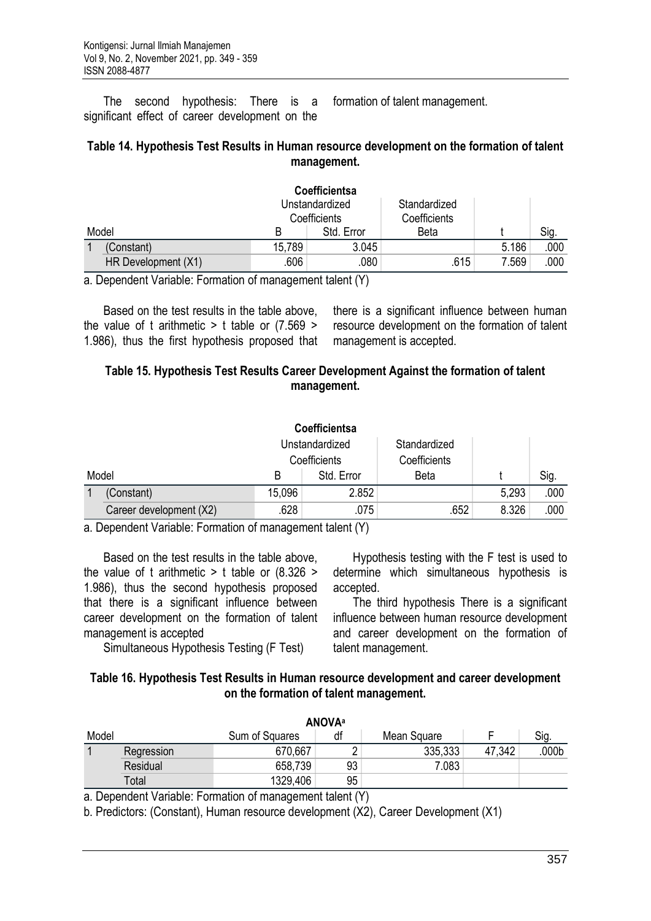The second hypothesis: There is a significant effect of career development on the formation of talent management.

#### **Table 14. Hypothesis Test Results in Human resource development on the formation of talent management.**

|       |                     |              | Coefficientsa  |              |       |      |
|-------|---------------------|--------------|----------------|--------------|-------|------|
|       |                     |              | Unstandardized | Standardized |       |      |
|       |                     | Coefficients |                | Coefficients |       |      |
| Model |                     | B            | Std. Error     | Beta         |       | Sig. |
|       | (Constant)          | 15,789       | 3.045          |              | 5.186 | .000 |
|       | HR Development (X1) | .606         | .080           | .615         | 7.569 | .000 |

a. Dependent Variable: Formation of management talent (Y)

Based on the test results in the table above, the value of t arithmetic  $>$  t table or (7.569  $>$ 1.986), thus the first hypothesis proposed that there is a significant influence between human resource development on the formation of talent management is accepted.

### **Table 15. Hypothesis Test Results Career Development Against the formation of talent management.**

|       |                         |        | Coefficientsa                  |                              |       |      |
|-------|-------------------------|--------|--------------------------------|------------------------------|-------|------|
|       |                         |        | Unstandardized<br>Coefficients | Standardized<br>Coefficients |       |      |
| Model |                         | B      | Std. Error                     | <b>Beta</b>                  |       | Sig. |
|       | (Constant)              | 15,096 | 2.852                          |                              | 5,293 | .000 |
|       | Career development (X2) | .628   | .075                           | .652                         | 8.326 | .000 |

a. Dependent Variable: Formation of management talent (Y)

Based on the test results in the table above, the value of t arithmetic  $>$  t table or (8.326  $>$ 1.986), thus the second hypothesis proposed that there is a significant influence between career development on the formation of talent management is accepted

Hypothesis testing with the F test is used to determine which simultaneous hypothesis is accepted.

The third hypothesis There is a significant influence between human resource development and career development on the formation of talent management.

Simultaneous Hypothesis Testing (F Test)

#### **Table 16. Hypothesis Test Results in Human resource development and career development on the formation of talent management.**

|       | <b>ANOVA</b> <sup>a</sup> |                |    |             |        |                   |  |
|-------|---------------------------|----------------|----|-------------|--------|-------------------|--|
| Model |                           | Sum of Squares | df | Mean Square |        | Sig.              |  |
|       | Regression                | 670,667        |    | 335,333     | 47,342 | .000 <sub>b</sub> |  |
|       | Residual                  | 658,739        | 93 | 7.083       |        |                   |  |
|       | Total                     | 1329,406       | 95 |             |        |                   |  |

a. Dependent Variable: Formation of management talent (Y)

b. Predictors: (Constant), Human resource development (X2), Career Development (X1)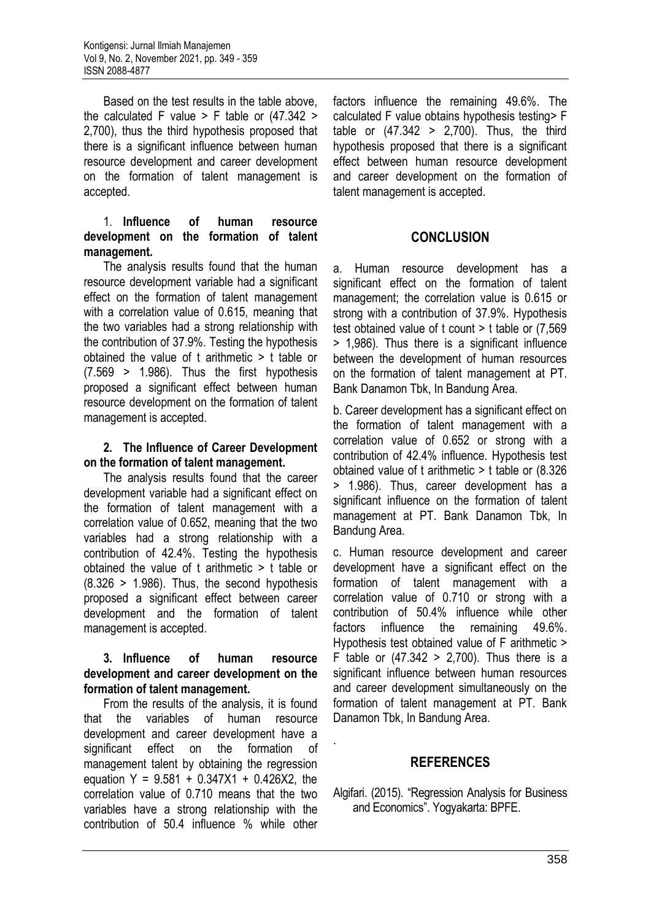Based on the test results in the table above, the calculated F value  $>$  F table or (47.342  $>$ 2,700), thus the third hypothesis proposed that there is a significant influence between human resource development and career development on the formation of talent management is accepted.

#### 1. **Influence of human resource development on the formation of talent management.**

The analysis results found that the human resource development variable had a significant effect on the formation of talent management with a correlation value of 0.615, meaning that the two variables had a strong relationship with the contribution of 37.9%. Testing the hypothesis obtained the value of t arithmetic > t table or  $(7.569 > 1.986)$ . Thus the first hypothesis proposed a significant effect between human resource development on the formation of talent management is accepted.

#### **2. The Influence of Career Development on the formation of talent management.**

The analysis results found that the career development variable had a significant effect on the formation of talent management with a correlation value of 0.652, meaning that the two variables had a strong relationship with a contribution of 42.4%. Testing the hypothesis obtained the value of t arithmetic > t table or  $(8.326 > 1.986)$ . Thus, the second hypothesis proposed a significant effect between career development and the formation of talent management is accepted.

### **3. Influence of human resource development and career development on the formation of talent management.**

From the results of the analysis, it is found that the variables of human resource development and career development have a significant effect on the formation of management talent by obtaining the regression equation  $Y = 9.581 + 0.347X1 + 0.426X2$ , the correlation value of 0.710 means that the two variables have a strong relationship with the contribution of 50.4 influence % while other

factors influence the remaining 49.6%. The calculated F value obtains hypothesis testing> F table or  $(47.342 > 2,700)$ . Thus, the third hypothesis proposed that there is a significant effect between human resource development and career development on the formation of talent management is accepted.

# **CONCLUSION**

a. Human resource development has a significant effect on the formation of talent management; the correlation value is 0.615 or strong with a contribution of 37.9%. Hypothesis test obtained value of t count > t table or (7,569 > 1,986). Thus there is a significant influence between the development of human resources on the formation of talent management at PT. Bank Danamon Tbk, In Bandung Area.

b. Career development has a significant effect on the formation of talent management with a correlation value of 0.652 or strong with a contribution of 42.4% influence. Hypothesis test obtained value of t arithmetic > t table or (8.326 > 1.986). Thus, career development has a significant influence on the formation of talent management at PT. Bank Danamon Tbk, In Bandung Area.

c. Human resource development and career development have a significant effect on the formation of talent management with a correlation value of 0.710 or strong with a contribution of 50.4% influence while other factors influence the remaining 49.6%. Hypothesis test obtained value of F arithmetic > F table or  $(47.342 > 2,700)$ . Thus there is a significant influence between human resources and career development simultaneously on the formation of talent management at PT. Bank Danamon Tbk, In Bandung Area.

### **REFERENCES**

.

Algifari. (2015). "Regression Analysis for Business and Economics". Yogyakarta: BPFE.